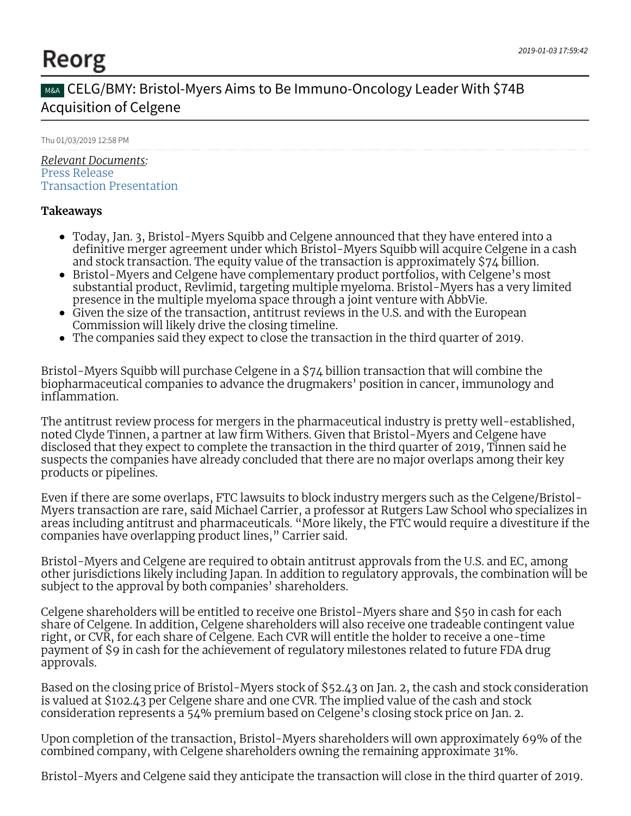# Reorg

## MBA CELG/BMY: Bristol-Myers Aims to Be Immuno-Oncology Leader With \$74B Acquisition of Celgene

#### Thu 01/03/2019 12:58 PM

*Relevant Documents:* Press [Release](https://app.reorg.com/print/wire/5c2df8ca6bfe09d5078b5dd8) Transaction [Presentation](https://app.reorg.com/sec/view/5c2e0701bbc0c7f5708b545a)

#### **Takeaways**

- Today, Jan. 3, Bristol-Myers Squibb and Celgene announced that they have entered into a definitive merger agreement under which Bristol-Myers Squibb will acquire Celgene in a cash and stock transaction. The equity value of the transaction is approximately \$74 billion.
- Bristol-Myers and Celgene have complementary product portfolios, with Celgene's most substantial product, Revlimid, targeting multiple myeloma. Bristol-Myers has a very limited presence in the multiple myeloma space through a joint venture with AbbVie.
- Given the size of the transaction, antitrust reviews in the U.S. and with the European Commission will likely drive the closing timeline.
- The companies said they expect to close the transaction in the third quarter of 2019.

Bristol-Myers Squibb will purchase Celgene in a \$74 billion transaction that will combine the biopharmaceutical companies to advance the drugmakers' position in cancer, immunology and inflammation.

The antitrust review process for mergers in the pharmaceutical industry is pretty well-established, noted Clyde Tinnen, a partner at law firm Withers. Given that Bristol-Myers and Celgene have disclosed that they expect to complete the transaction in the third quarter of 2019, Tinnen said he suspects the companies have already concluded that there are no major overlaps among their key products or pipelines.

Even if there are some overlaps, FTC lawsuits to block industry mergers such as the Celgene/Bristol-Myers transaction are rare, said Michael Carrier, a professor at Rutgers Law School who specializes in areas including antitrust and pharmaceuticals. "More likely, the FTC would require a divestiture if the companies have overlapping product lines," Carrier said.

Bristol-Myers and Celgene are required to obtain antitrust approvals from the U.S. and EC, among other jurisdictions likely including Japan. In addition to regulatory approvals, the combination will be subject to the approval by both companies' shareholders.

Celgene shareholders will be entitled to receive one Bristol-Myers share and \$50 in cash for each share of Celgene. In addition, Celgene shareholders will also receive one tradeable contingent value right, or CVR, for each share of Celgene. Each CVR will entitle the holder to receive a one-time payment of \$9 in cash for the achievement of regulatory milestones related to future FDA drug approvals.

Based on the closing price of Bristol-Myers stock of \$52.43 on Jan. 2, the cash and stock consideration is valued at \$102.43 per Celgene share and one CVR. The implied value of the cash and stock consideration represents a 54% premium based on Celgene's closing stock price on Jan. 2.

Upon completion of the transaction, Bristol-Myers shareholders will own approximately 69% of the combined company, with Celgene shareholders owning the remaining approximate 31%.

Bristol-Myers and Celgene said they anticipate the transaction will close in the third quarter of 2019.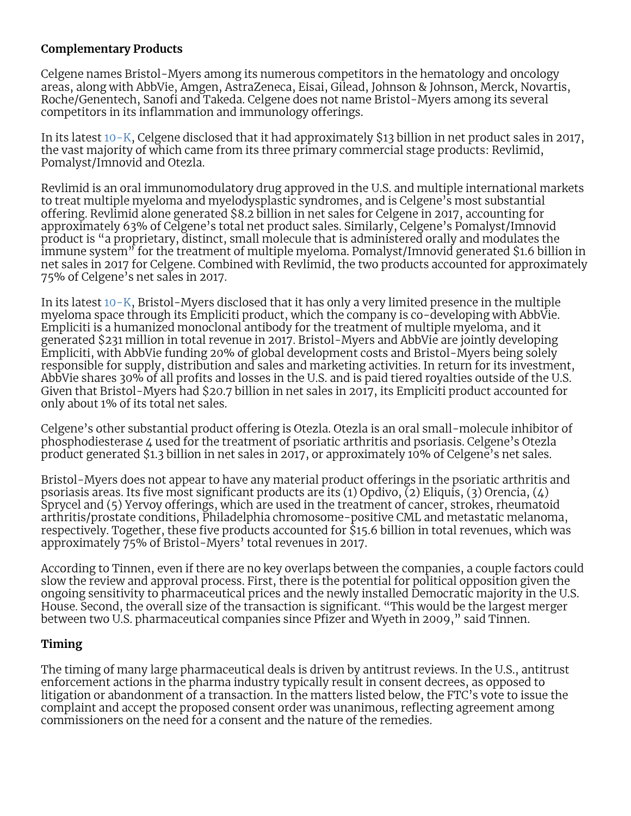#### **Complementary Products**

Celgene names Bristol-Myers among its numerous competitors in the hematology and oncology areas, along with AbbVie, Amgen, AstraZeneca, Eisai, Gilead, Johnson & Johnson, Merck, Novartis, Roche/Genentech, Sanofi and Takeda. Celgene does not name Bristol-Myers among its several competitors in its inflammation and immunology offerings.

In its latest [10-K](https://app.reorg.com/sec/view/5a7add62bbc0c722258b4696), Celgene disclosed that it had approximately \$13 billion in net product sales in 2017, the vast majority of which came from its three primary commercial stage products: Revlimid, Pomalyst/Imnovid and Otezla.

Revlimid is an oral immunomodulatory drug approved in the U.S. and multiple international markets to treat multiple myeloma and myelodysplastic syndromes, and is Celgene's most substantial offering. Revlimid alone generated \$8.2 billion in net sales for Celgene in 2017, accounting for approximately 63% of Celgene's total net product sales. Similarly, Celgene's Pomalyst/Imnovid product is "a proprietary, distinct, small molecule that is administered orally and modulates the immune system<sup>3</sup> for the treatment of multiple myeloma. Pomalyst/Imnovid generated \$1.6 billion in net sales in 2017 for Celgene. Combined with Revlimid, the two products accounted for approximately 75% of Celgene's net sales in 2017.

In its latest [10-K](https://app.reorg.com/sec/view/58ac73f1bbc0c779528b690f), Bristol-Myers disclosed that it has only a very limited presence in the multiple myeloma space through its Empliciti product, which the company is co-developing with AbbVie. Empliciti is a humanized monoclonal antibody for the treatment of multiple myeloma, and it generated \$231 million in total revenue in 2017. Bristol-Myers and AbbVie are jointly developing Empliciti, with AbbVie funding 20% of global development costs and Bristol-Myers being solely responsible for supply, distribution and sales and marketing activities. In return for its investment, AbbVie shares 30% of all profits and losses in the U.S. and is paid tiered royalties outside of the U.S. Given that Bristol-Myers had \$20.7 billion in net sales in 2017, its Empliciti product accounted for only about 1% of its total net sales.

Celgene's other substantial product offering is Otezla. Otezla is an oral small-molecule inhibitor of phosphodiesterase 4 used for the treatment of psoriatic arthritis and psoriasis. Celgene's Otezla product generated \$1.3 billion in net sales in 2017, or approximately 10% of Celgene's net sales.

Bristol-Myers does not appear to have any material product offerings in the psoriatic arthritis and psoriasis areas. Its five most significant products are its (1) Opdivo,  $\overline{2}$ ) Eliquis, (3) Orencia, (4) Sprycel and (5) Yervoy offerings, which are used in the treatment of cancer, strokes, rheumatoid arthritis/prostate conditions, Philadelphia chromosome-positive CML and metastatic melanoma, respectively. Together, these five products accounted for \$15.6 billion in total revenues, which was approximately 75% of Bristol-Myers' total revenues in 2017.

According to Tinnen, even if there are no key overlaps between the companies, a couple factors could slow the review and approval process. First, there is the potential for political opposition given the ongoing sensitivity to pharmaceutical prices and the newly installed Democratic majority in the U.S. House. Second, the overall size of the transaction is significant. "This would be the largest merger between two U.S. pharmaceutical companies since Pfizer and Wyeth in 2009," said Tinnen.

### **Timing**

The timing of many large pharmaceutical deals is driven by antitrust reviews. In the U.S., antitrust enforcement actions in the pharma industry typically result in consent decrees, as opposed to litigation or abandonment of a transaction. In the matters listed below, the FTC's vote to issue the complaint and accept the proposed consent order was unanimous, reflecting agreement among commissioners on the need for a consent and the nature of the remedies.